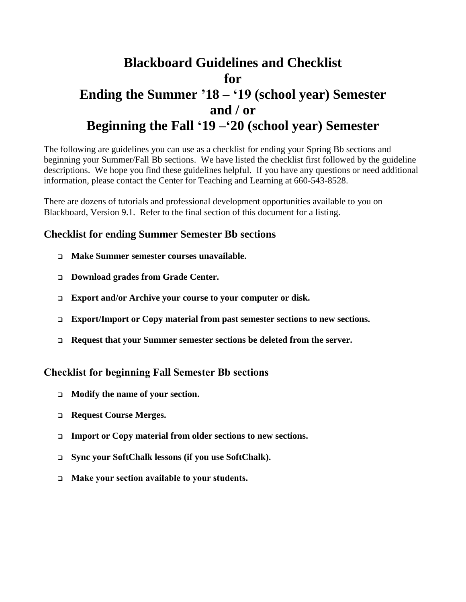# **Blackboard Guidelines and Checklist for Ending the Summer '18 – '19 (school year) Semester and / or Beginning the Fall '19 –'20 (school year) Semester**

The following are guidelines you can use as a checklist for ending your Spring Bb sections and beginning your Summer/Fall Bb sections. We have listed the checklist first followed by the guideline descriptions. We hope you find these guidelines helpful. If you have any questions or need additional information, please contact the Center for Teaching and Learning at 660-543-8528.

There are dozens of tutorials and professional development opportunities available to you on Blackboard, Version 9.1. Refer to the final section of this document for a listing.

### **Checklist for ending Summer Semester Bb sections**

- **Make Summer semester courses unavailable.**
- **Download grades from Grade Center.**
- **Export and/or Archive your course to your computer or disk.**
- **Export/Import or Copy material from past semester sections to new sections.**
- **Request that your Summer semester sections be deleted from the server.**

### **Checklist for beginning Fall Semester Bb sections**

- **Modify the name of your section.**
- **Request Course Merges.**
- **Import or Copy material from older sections to new sections.**
- **Sync your SoftChalk lessons (if you use SoftChalk).**
- **Make your section available to your students.**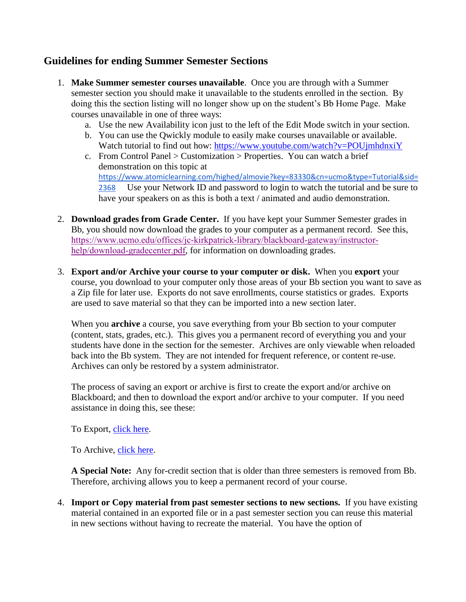## **Guidelines for ending Summer Semester Sections**

- 1. **Make Summer semester courses unavailable**. Once you are through with a Summer semester section you should make it unavailable to the students enrolled in the section. By doing this the section listing will no longer show up on the student's Bb Home Page. Make courses unavailable in one of three ways:
	- a. Use the new Availability icon just to the left of the Edit Mode switch in your section.
	- b. You can use the Qwickly module to easily make courses unavailable or available. Watch tutorial to find out how:<https://www.youtube.com/watch?v=POUjmhdnxiY>
	- c. From Control Panel > Customization > Properties. You can watch a brief demonstration on this topic at [https://www.atomiclearning.com/highed/almovie?key=83330&cn=ucmo&type=Tutorial&sid=](https://www.atomiclearning.com/highed/almovie?key=83330&cn=ucmo&type=Tutorial&sid=2368) [2368](https://www.atomiclearning.com/highed/almovie?key=83330&cn=ucmo&type=Tutorial&sid=2368) Use your Network ID and password to login to watch the tutorial and be sure to have your speakers on as this is both a text / animated and audio demonstration.
- 2. **Download grades from Grade Center.** If you have kept your Summer Semester grades in Bb, you should now download the grades to your computer as a permanent record. See this, [https://www.ucmo.edu/offices/jc-kirkpatrick-library/blackboard-gateway/instructor](https://www.ucmo.edu/offices/jc-kirkpatrick-library/blackboard-gateway/instructor-help/download-gradecenter.pdf)[help/download-gradecenter.pdf](https://www.ucmo.edu/offices/jc-kirkpatrick-library/blackboard-gateway/instructor-help/download-gradecenter.pdf), for information on downloading grades.
- 3. **Export and/or Archive your course to your computer or disk.** When you **export** your course, you download to your computer only those areas of your Bb section you want to save as a Zip file for later use. Exports do not save enrollments, course statistics or grades. Exports are used to save material so that they can be imported into a new section later.

When you **archive** a course, you save everything from your Bb section to your computer (content, stats, grades, etc.). This gives you a permanent record of everything you and your students have done in the section for the semester. Archives are only viewable when reloaded back into the Bb system. They are not intended for frequent reference, or content re-use. Archives can only be restored by a system administrator.

The process of saving an export or archive is first to create the export and/or archive on Blackboard; and then to download the export and/or archive to your computer. If you need assistance in doing this, see these:

To Export, [click here.](https://www.ucmo.edu/offices/jc-kirkpatrick-library/blackboard-gateway/instructor-help/exporting.pdf)

To Archive, [click here.](https://www.ucmo.edu/offices/jc-kirkpatrick-library/blackboard-gateway/instructor-help/archiving.pdf)

**A Special Note:** Any for-credit section that is older than three semesters is removed from Bb. Therefore, archiving allows you to keep a permanent record of your course.

4. **Import or Copy material from past semester sections to new sections.** If you have existing material contained in an exported file or in a past semester section you can reuse this material in new sections without having to recreate the material. You have the option of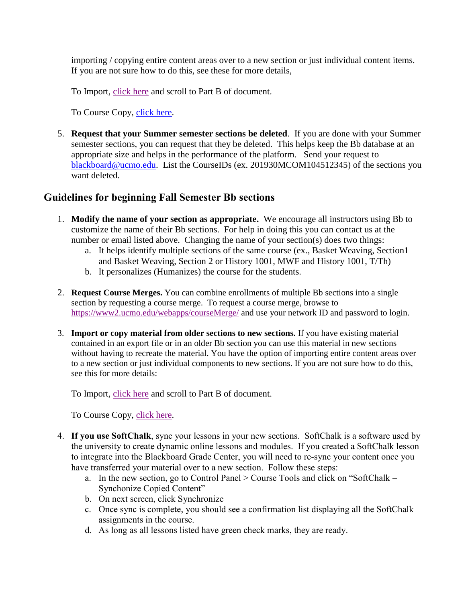importing / copying entire content areas over to a new section or just individual content items. If you are not sure how to do this, see these for more details,

To Import, [click here](https://www.ucmo.edu/offices/jc-kirkpatrick-library/blackboard-gateway/instructor-help/exporting.pdf) and scroll to Part B of document.

To Course Copy, [click here.](https://www.ucmo.edu/offices/jc-kirkpatrick-library/blackboard-gateway/instructor-help/copying.pdf)

5. **Request that your Summer semester sections be deleted**. If you are done with your Summer semester sections, you can request that they be deleted. This helps keep the Bb database at an appropriate size and helps in the performance of the platform. Send your request to [blackboard@ucmo.edu.](mailto:blackboard@ucmo.edu) List the CourseIDs (ex. 201930MCOM104512345) of the sections you want deleted.

## **Guidelines for beginning Fall Semester Bb sections**

- 1. **Modify the name of your section as appropriate.** We encourage all instructors using Bb to customize the name of their Bb sections. For help in doing this you can contact us at the number or email listed above. Changing the name of your section(s) does two things:
	- a. It helps identify multiple sections of the same course (ex., Basket Weaving, Section1 and Basket Weaving, Section 2 or History 1001, MWF and History 1001, T/Th)
	- b. It personalizes (Humanizes) the course for the students.
- 2. **Request Course Merges.** You can combine enrollments of multiple Bb sections into a single section by requesting a course merge. To request a course merge, browse to <https://www2.ucmo.edu/webapps/courseMerge/> and use your network ID and password to login.
- 3. **Import or copy material from older sections to new sections.** If you have existing material contained in an export file or in an older Bb section you can use this material in new sections without having to recreate the material. You have the option of importing entire content areas over to a new section or just individual components to new sections. If you are not sure how to do this, see this for more details:

To Import, [click here](https://www.ucmo.edu/offices/jc-kirkpatrick-library/blackboard-gateway/instructor-help/exporting.pdf) and scroll to Part B of document.

To Course Copy, [click here.](https://www.ucmo.edu/offices/jc-kirkpatrick-library/blackboard-gateway/instructor-help/copying.pdf)

- 4. **If you use SoftChalk**, sync your lessons in your new sections. SoftChalk is a software used by the university to create dynamic online lessons and modules. If you created a SoftChalk lesson to integrate into the Blackboard Grade Center, you will need to re-sync your content once you have transferred your material over to a new section. Follow these steps:
	- a. In the new section, go to Control Panel > Course Tools and click on "SoftChalk Synchonize Copied Content"
	- b. On next screen, click Synchronize
	- c. Once sync is complete, you should see a confirmation list displaying all the SoftChalk assignments in the course.
	- d. As long as all lessons listed have green check marks, they are ready.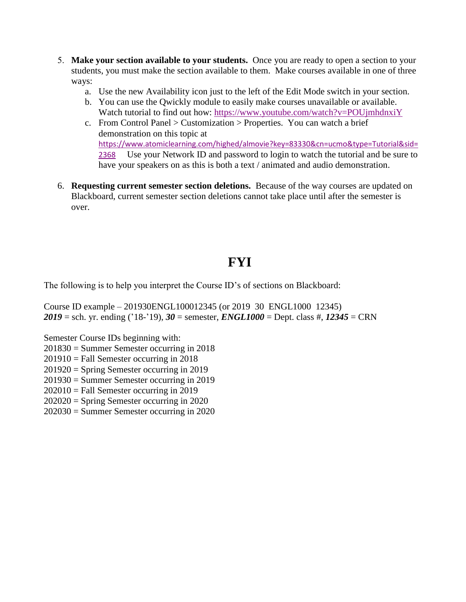- 5. **Make your section available to your students.** Once you are ready to open a section to your students, you must make the section available to them. Make courses available in one of three ways:
	- a. Use the new Availability icon just to the left of the Edit Mode switch in your section.
	- b. You can use the Qwickly module to easily make courses unavailable or available. Watch tutorial to find out how:<https://www.youtube.com/watch?v=POUjmhdnxiY>
	- c. From Control Panel > Customization > Properties. You can watch a brief demonstration on this topic at [https://www.atomiclearning.com/highed/almovie?key=83330&cn=ucmo&type=Tutorial&sid=](https://www.atomiclearning.com/highed/almovie?key=83330&cn=ucmo&type=Tutorial&sid=2368) [2368](https://www.atomiclearning.com/highed/almovie?key=83330&cn=ucmo&type=Tutorial&sid=2368) Use your Network ID and password to login to watch the tutorial and be sure to have your speakers on as this is both a text / animated and audio demonstration.
- 6. **Requesting current semester section deletions.** Because of the way courses are updated on Blackboard, current semester section deletions cannot take place until after the semester is over.

# **FYI**

The following is to help you interpret the Course ID's of sections on Blackboard:

Course ID example – 201930ENGL100012345 (or 2019 30 ENGL1000 12345)  $2019 =$  sch. yr. ending ('18-'19),  $30 =$  semester, *ENGL1000* = Dept. class #,  $12345 =$  CRN

Semester Course IDs beginning with:

201830 = Summer Semester occurring in 2018

 $201910 =$ Fall Semester occurring in 2018

201920 = Spring Semester occurring in 2019

201930 = Summer Semester occurring in 2019

 $202010 =$  Fall Semester occurring in 2019

202020 = Spring Semester occurring in 2020

202030 = Summer Semester occurring in 2020